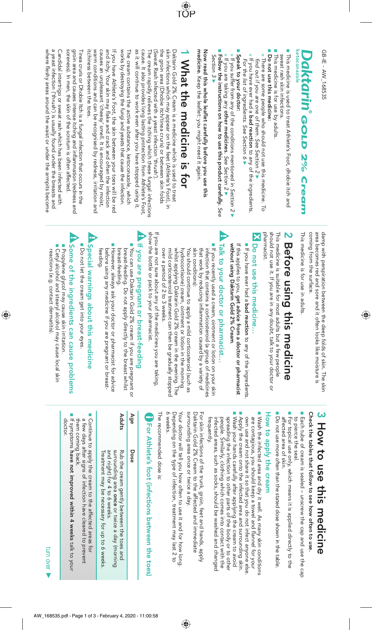GB-IE - AW\_168535 GB-IE - AW\_168535

#### ketoconazole Ocktarin Gold 2% Cream *GOLD 2% Cream*

■ sweat rash skin infections. sweat rash skin infections. This medicine is used to treat Athlete's Foot, dhobie itch and

- This medicine is for use by adults.
- Do not use this medicine: **Do not use this medicine:**
- There are some people who should not use this medicine. There are some people who should not use this medicine. To find out if you are one of them. See Section 2 find out if you are one of them. See Section 2 ▶
- If you have ever had a **bad reaction** to any of the ingredients If you have ever had a **bad reaction** to any of the ingredients. For the list of ingredients. See Section 6 For the list of ingredients. See Section 6
- Beak to your doctor: **Speak to your doctor:** If you suffer from any of the conditions mentioned in
- Section 2 ► If you are taking any **other medicines**. See Section 2 ► ■ **Follow the instructions on how to use this product carefully.** See

Now read this whole leaflet carefully before you use this **Now read this whole leaflet carefully before you use this**  Section 3 ►

medicine. Keep the leaflet: you might need it again. **medicine.** Keep the leaflet: you might need it again.

# **1 What the medicine is for** What the medicine is for

TOP

as it will continue to work even atter you have stopped using it. cause. It also provides long lasting protection from Athlete's Foot the groin area (Dhobie itch/tinea cruris) or between skin folds skin infections shich may abbear on the feet (Athlete's Foot), in Daktarin Gold 2% Cream is a medicine which is used to treat as it will continue to work even after you have stopped using it. cause. It also provides long lasting protection from Athlete's Foot, The cream rapidly relieves the itching which these fungal infections The cream rapidly relieves the itching which these fungal infections (Sweat Rash infected with a yeast infection 'thrush'). (Sweat Rash infected with a yeast infection 'thrush'). the groin area (Dhobie itch/tinea cruris) or between skin folds skin infections which may appear on the feet (Athlete's Foot), in Daktarin Gold 2% Cream is a medicine which is used to treat

works by destroying the fungi and yeasts that cause the infection. works by destroying the fungi and yeasts that cause the infection. The cream contains the active substance, ketoconazole, which The cream contains the active substance, ketoconazole, which

warm conditions and can be recognised by redness, irritation and causes an unpleasant 'cheesy' smell. It is encouraged by moist, If you have Athlete's Foot, the skin between your toes will be red itchiness between the toes. warm conditions and can be recognised by redness, irritation and causes an unpleasant 'cheesy' smell. It is encouraged by moist, and itchy. Your skin may flake and crack and often the infection and itchy. Your skin may flake and crack and often the infection itchiness between the toes. If you have Athlete's Foot, the skin between your toes will be red

soreness). In men, the skin of the scrotum is often affected groin area and causes intense itching and inflammation (redness and soreness). In men, the skin of the scrotum is often affected. groin area and causes intense itching and inflammation (redness and Tinea cruris or Dhobie Itch is a fungal infection that occurs in the Tinea cruris or Dhobie Itch is a fungal infection that occurs in the

a yeast infection ('thrush') is usually found under the breasts and Candidal intertrigo or sweat rash which has been infected with where fleshy areas around the waist or under the armpits become where fleshy areas around the waist or under the armpits become a yeast infection ('thrush') is usually found under the breasts and Candidal intertrigo or sweat rash which has been infected with

> coming from the surface. area becomes red and sore and it often looks like moisture is damp with perspiration between the deep folds of skin. The skin coming from the surface. area becomes red and sore and it often looks like moisture is damp with perspiration between the deep folds of skin. The skin

 $\bigcirc$ 

This medicine is for use in adults This medicine is for use in adults.

#### **2** Before using this medicine **Before using this medicine**

should not use it. It you are in any doubt, talk to your doctor or pharmacist pharmacist. should not use it. If you are in any doubt, talk to your doctor or This medicine is suitable for most adults but a few people This medicine is suitable for most adults but a few people

#### Do not use this medicine... **Do not use this medicine…**

■ If you have ever had a bad reaction to any of the ingredients If you have ever had a **bad reaction**to any of the ingredients.

If this applies to you, get advice from a doctor or pharmacist without using Daktarin Gold 2% Cream. **without using Daktarin Gold 2% Cream**If this applies to you, **get advice from a doctor or pharmacist** 

#### b Talk to your doctor or pharmacist... **Talk to your doctor or pharmacist…**

If you recently used a cream, ointment or lotion on your skin that work by reducing inflammation caused by a variety of infection that contains a corticosteroid (a group of medicines skin conditions): skin conditions): that work by reducing inflammation caused by a variety of infection that contains a corticosteroid (a group of medicines If you recently used a cream, ointment or lotion on your skin

hydrocortisone) cream, ointment or lotion in the morning<br>whilst applying Daktarin Gold 2% cream in the evening. The over a period of 2 to 3 weeks. mild corticosteroid treatment can then be gradually stopped whilst applying Daktarin Gold 2% cream in the evening. The You should continue to apply a mild corticosteroid (such as You should continue to apply a mild corticosteroid (such as over a period of 2 to 3 weeks. mild corticosteroid treatment can then be gradually stopped hydrocortisone) cream, ointment or lotion in the morning

If you are not sure about any of the medicines you are taking, show the bottle or pack to your pharmacist show the bottle or pack to your pharmacist. If you are not sure about any of the medicines you are taking,

## If you are pregnant or breast-feeding **If you are pregnant or breast-feeding**

- breast-feeding. Do not apply directly to the breast whilst i You can use Daktarin Gold 2% cream if you are pregnant or breast-feeding. You can use Daktarin Gold 2% cream if you are pregnant or breast-feeding. breast-feeding. Do not apply directly to the breast whilst
- However, always ask your doctor or pharmacist tor advice before using any medicine if you are pregnant or breast-<br>feeding. before using any medicine if you are pregnant or breast-However, always ask your doctor or pharmacist for advice

# Special warnings about this medicine **Special warnings about this medicine**

■ Do not let the cream get into your eyes Do not let the cream get into your eyes.

# Some of the ingredients can cause problems **Some of the ingredients can cause problems**

■ Propylene glycol may cause skin irritation ■ Cetyl alcohol and stearyl alcohol may cause local skin reactions (e.g. contact dermatitis) reactions (e.g. contact dermatitis). Cetyl alcohol and stearyl alcohol may cause local skin Propylene glycol may cause skin irritation.

 $\bigcirc$ 

# **3 How to use this medicine**

Check the tables that follow to see how often to use **Check the tables that follow to see how often to use.**

■ Each tube of cream is sealed – unscrew the cap and use the cap to pierce the seal to pierce the seal. Each tube of cream is sealed – unscrew the cap and use the cap

■ For topical use only, which means it is applied directly to the affected area of skin. affected area of skin. For topical use only, which means it is applied directly to the

■ Do not ase more often than the stated dose shown in the table. Do not use more often than the stated dose shown in the table.

#### How to apply the cream **How to apply the cream**

■ Wash your hands carefully after applying the cream to avoid ■ Apply the cream onto the infected area and surrounding skin. ■ Wash the infected area and dry it well. As many skin conditions people. Similarly, clothing which comes into contact with the spreading the infection to other parts of the body or to other own use and not share it so that you do not infect anyone else are contagious, you should keep a towel and flannel for your infected areas, such as socks, should be washed and changed<br>frequently. spreading the infection to other parts of the body or to other Wash your hands carefully after applying the cream to avoid Apply the cream onto the infected area and surrounding skin. own use and not share it so that you do not infect anyone else. are contagious, you should keep a towel and flannel for your Wash the infected area and dry it well. As many skin conditions infected areas, such as socks, should be washed and changed people. Similarly, clothing which comes into contact with the

surrounding area once or twice a day. Daktarin Gold 2% Cream to the affected and immediate surrounding area once or twice a day. Daktarin Gold 2% Cream to the affected and immediate For sixin interctions of the trunk, groin, feet and hands, apply For skin infections of the trunk, groin, feet and hands, apply

6 weeks. Depending on the type of infection, treatment may last 2 to Your doctor will tell you how often to use it and for how long Your doctor will tell you how often to use it and for how long. 6 weeks. Depending on the type of infection, treatment may last 2 to

The recommended dose is: The recommended dose is:

# Por Athlete's foot (infections between the toes) **For Athlete's foot (infections between the toes)**

#### Age **Age Dose**

Dose

**Adults**  Rub the cream gently between the toes and and night) for 4 to 6 weeks. surrounding area once or twice a day (morning Treatment may be necessary for up to 6 weeks Treatment may be necessary for up to 6 weeks. and night) for 4 to 6 weeks. surrounding area Rub the cream gently between the toes and or twice a day (morning

a few days after signs of infection have cleared to prevent I Continue to apply the cream to the affected areas for a few days after signs of infection have cleared to prevent Continue to apply the cream to the affected areas for

them coming back. them coming back.

If symptoms **have not improved within 4 weeks** talk to your l f symptoms **have not improved within 4 weeks** talk to your<br>doctor.

turn over ►